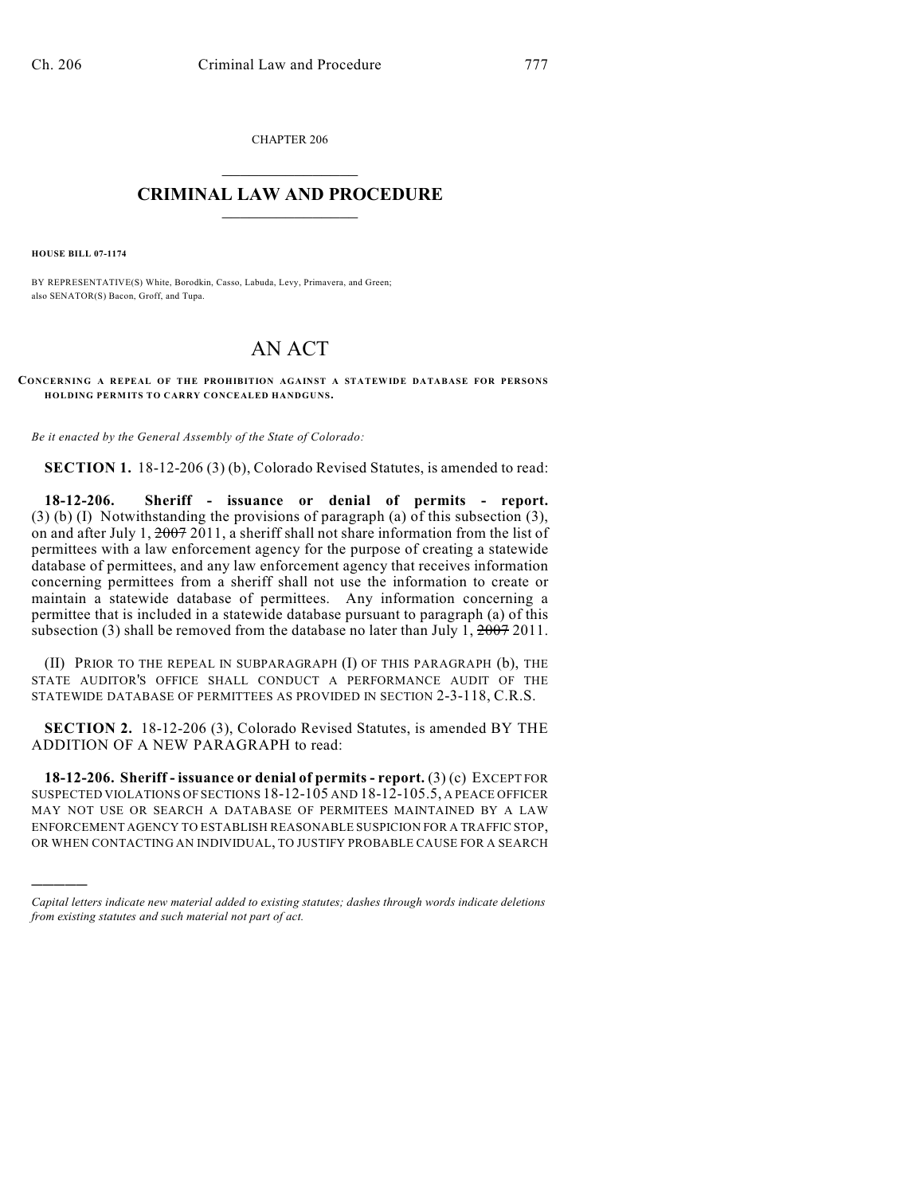CHAPTER 206  $\overline{\phantom{a}}$  . The set of the set of the set of the set of the set of the set of the set of the set of the set of the set of the set of the set of the set of the set of the set of the set of the set of the set of the set o

## **CRIMINAL LAW AND PROCEDURE**  $\frac{1}{2}$  ,  $\frac{1}{2}$  ,  $\frac{1}{2}$  ,  $\frac{1}{2}$  ,  $\frac{1}{2}$  ,  $\frac{1}{2}$  ,  $\frac{1}{2}$

**HOUSE BILL 07-1174**

)))))

BY REPRESENTATIVE(S) White, Borodkin, Casso, Labuda, Levy, Primavera, and Green; also SENATOR(S) Bacon, Groff, and Tupa.

## AN ACT

**CONCERNING A REPEAL OF THE PROHIBITION AGAINST A STATEWIDE DATABASE FOR PERSONS HOLDING PERMITS TO CARRY CONCEALED HANDGUNS.**

*Be it enacted by the General Assembly of the State of Colorado:*

**SECTION 1.** 18-12-206 (3) (b), Colorado Revised Statutes, is amended to read:

**18-12-206. Sheriff - issuance or denial of permits - report.** (3) (b) (I) Notwithstanding the provisions of paragraph (a) of this subsection (3), on and after July 1,  $\frac{2007}{2011}$ , a sheriff shall not share information from the list of permittees with a law enforcement agency for the purpose of creating a statewide database of permittees, and any law enforcement agency that receives information concerning permittees from a sheriff shall not use the information to create or maintain a statewide database of permittees. Any information concerning a permittee that is included in a statewide database pursuant to paragraph (a) of this subsection (3) shall be removed from the database no later than July 1,  $2007$  2011.

(II) PRIOR TO THE REPEAL IN SUBPARAGRAPH (I) OF THIS PARAGRAPH (b), THE STATE AUDITOR'S OFFICE SHALL CONDUCT A PERFORMANCE AUDIT OF THE STATEWIDE DATABASE OF PERMITTEES AS PROVIDED IN SECTION 2-3-118, C.R.S.

**SECTION 2.** 18-12-206 (3), Colorado Revised Statutes, is amended BY THE ADDITION OF A NEW PARAGRAPH to read:

**18-12-206. Sheriff - issuance or denial of permits - report.** (3) (c) EXCEPT FOR SUSPECTED VIOLATIONS OF SECTIONS 18-12-105 AND 18-12-105.5, A PEACE OFFICER MAY NOT USE OR SEARCH A DATABASE OF PERMITEES MAINTAINED BY A LAW ENFORCEMENT AGENCY TO ESTABLISH REASONABLE SUSPICION FOR A TRAFFIC STOP, OR WHEN CONTACTING AN INDIVIDUAL, TO JUSTIFY PROBABLE CAUSE FOR A SEARCH

*Capital letters indicate new material added to existing statutes; dashes through words indicate deletions from existing statutes and such material not part of act.*